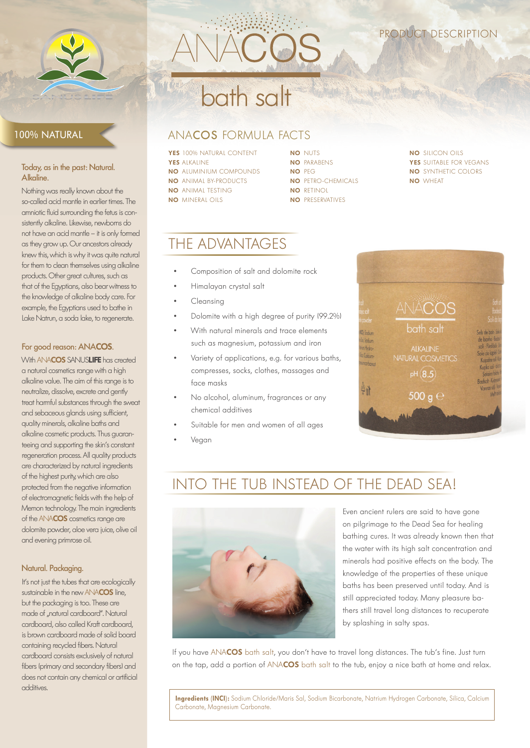

Today, as in the past: Natural. Alkaline.

Nothing was really known about the so-called acid mantle in earlier times. The amniotic fluid surrounding the fetus is consistently alkaline. Likewise, newborns do not have an acid mantle – it is only formed as they grow up. Our ancestors already knew this, which is why it was quite natural for them to clean themselves using alkaline products. Other great cultures, such as that of the Egyptians, also bear witness to the knowledge of alkaline body care. For example, the Egyptians used to bathe in Lake Natrun, a soda lake, to regenerate.

#### For good reason: ANA**COS**.

With ANA**COS** SANUS**LIFE** has created a natural cosmetics range with a high alkaline value. The aim of this range is to neutralize, dissolve, excrete and gently treat harmful substances through the sweat and sebaceous glands using sufficient, quality minerals, alkaline baths and alkaline cosmetic products. Thus guaranteeing and supporting the skin's constant regeneration process. All quality products are characterized by natural ingredients of the highest purity, which are also protected from the negative information of electromagnetic fields with the help of Memon technology. The main ingredients of the ANA**COS** cosmetics range are dolomite powder, aloe vera juice, olive oil and evening primrose oil.

### Natural. Packaging.

It's not just the tubes that are ecologically sustainable in the new ANA**COS** line, but the packaging is too. These are made of "natural cardboard". Natural cardboard, also called Kraft cardboard, is brown cardboard made of solid board containing recycled fibers. Natural cardboard consists exclusively of natural fibers (primary and secondary fibers) and does not contain any chemical or artificial additives.

# bath salt

# 100% NATURAL ANACOS FORMULA FACTS

**YES** 100% NATURAL CONTENT **YES** ALKALINE **NO** ALUMINIUM COMPOUNDS **NO** ANIMAL BY-PRODUCTS **NO** ANIMAL TESTING **NO** MINERAL OILS

**NO** NUTS **NO** PARABENS **NO** PEG **NO** PETRO-CHEMICALS **NO** RETINOL **NO** PRESERVATIVES

**NO** SILICON OILS **YES** SUITABLE FOR VEGANS **NO** SYNTHETIC COLORS **NO** WHEAT

# THE ADVANTAGES

- Composition of salt and dolomite rock
- Himalayan crystal salt
- Cleansing
- Dolomite with a high degree of purity (99.2%)
- With natural minerals and trace elements such as magnesium, potassium and iron
- Variety of applications, e.g. for various baths, compresses, socks, clothes, massages and face masks
- No alcohol, aluminum, fragrances or any chemical additives
- Suitable for men and women of all ages
- Vegan



# INTO THE TUB INSTEAD OF THE DEAD SEA!



Even ancient rulers are said to have gone on pilgrimage to the Dead Sea for healing bathing cures. It was already known then that the water with its high salt concentration and minerals had positive effects on the body. The knowledge of the properties of these unique baths has been preserved until today. And is still appreciated today. Many pleasure bathers still travel long distances to recuperate by splashing in salty spas.

If you have ANA**COS** bath salt, you don't have to travel long distances. The tub's fine. Just turn on the tap, add a portion of ANA**COS** bath salt to the tub, enjoy a nice bath at home and relax.

**Ingredients (INCI):** Sodium Chloride/Maris Sal, Sodium Bicarbonate, Natrium Hydrogen Carbonate, Silica, Calcium Carbonate, Magnesium Carbonate.

# PRODUCT DESCRIPTION